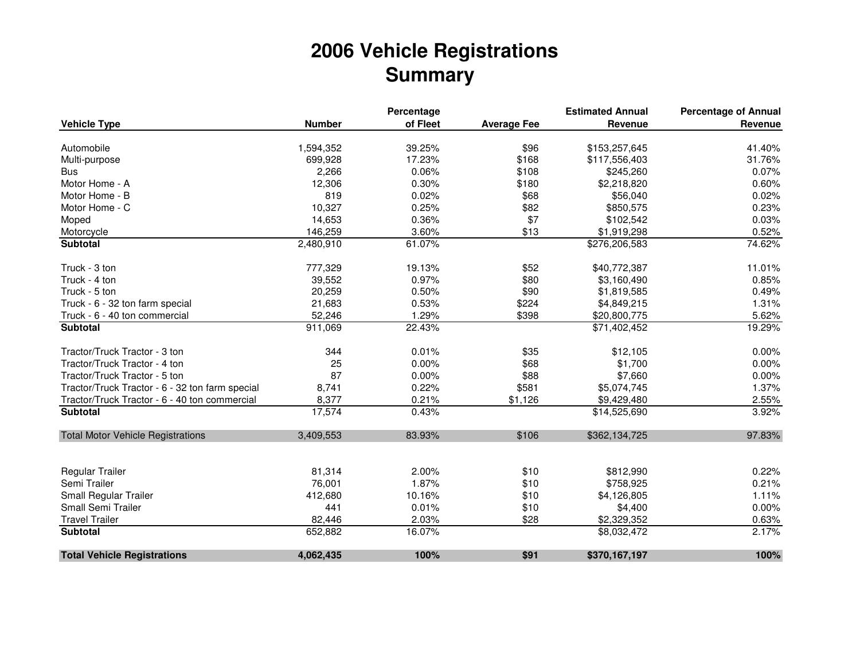## **2006 Vehicle RegistrationsSummary**

|               | Percentage                                                                                                                                                                                                                                      |                                                                                                                                                                                                                            | <b>Estimated Annual</b>                                                                                                                                                                       | <b>Percentage of Annual</b>                                                                                                                                                                                                                                                                                                                                      |
|---------------|-------------------------------------------------------------------------------------------------------------------------------------------------------------------------------------------------------------------------------------------------|----------------------------------------------------------------------------------------------------------------------------------------------------------------------------------------------------------------------------|-----------------------------------------------------------------------------------------------------------------------------------------------------------------------------------------------|------------------------------------------------------------------------------------------------------------------------------------------------------------------------------------------------------------------------------------------------------------------------------------------------------------------------------------------------------------------|
| <b>Number</b> | of Fleet                                                                                                                                                                                                                                        | <b>Average Fee</b>                                                                                                                                                                                                         | Revenue                                                                                                                                                                                       | Revenue                                                                                                                                                                                                                                                                                                                                                          |
|               |                                                                                                                                                                                                                                                 |                                                                                                                                                                                                                            |                                                                                                                                                                                               | 41.40%                                                                                                                                                                                                                                                                                                                                                           |
|               |                                                                                                                                                                                                                                                 |                                                                                                                                                                                                                            |                                                                                                                                                                                               | 31.76%                                                                                                                                                                                                                                                                                                                                                           |
|               |                                                                                                                                                                                                                                                 |                                                                                                                                                                                                                            |                                                                                                                                                                                               | 0.07%                                                                                                                                                                                                                                                                                                                                                            |
|               |                                                                                                                                                                                                                                                 |                                                                                                                                                                                                                            |                                                                                                                                                                                               | 0.60%                                                                                                                                                                                                                                                                                                                                                            |
|               |                                                                                                                                                                                                                                                 |                                                                                                                                                                                                                            |                                                                                                                                                                                               |                                                                                                                                                                                                                                                                                                                                                                  |
|               |                                                                                                                                                                                                                                                 |                                                                                                                                                                                                                            |                                                                                                                                                                                               | 0.02%                                                                                                                                                                                                                                                                                                                                                            |
|               |                                                                                                                                                                                                                                                 |                                                                                                                                                                                                                            |                                                                                                                                                                                               | 0.23%                                                                                                                                                                                                                                                                                                                                                            |
|               |                                                                                                                                                                                                                                                 |                                                                                                                                                                                                                            |                                                                                                                                                                                               | 0.03%                                                                                                                                                                                                                                                                                                                                                            |
|               |                                                                                                                                                                                                                                                 |                                                                                                                                                                                                                            |                                                                                                                                                                                               | 0.52%                                                                                                                                                                                                                                                                                                                                                            |
|               |                                                                                                                                                                                                                                                 |                                                                                                                                                                                                                            |                                                                                                                                                                                               | 74.62%                                                                                                                                                                                                                                                                                                                                                           |
| 777,329       | 19.13%                                                                                                                                                                                                                                          | \$52                                                                                                                                                                                                                       | \$40,772,387                                                                                                                                                                                  | 11.01%                                                                                                                                                                                                                                                                                                                                                           |
|               | 0.97%                                                                                                                                                                                                                                           |                                                                                                                                                                                                                            |                                                                                                                                                                                               | 0.85%                                                                                                                                                                                                                                                                                                                                                            |
|               |                                                                                                                                                                                                                                                 |                                                                                                                                                                                                                            |                                                                                                                                                                                               | 0.49%                                                                                                                                                                                                                                                                                                                                                            |
|               |                                                                                                                                                                                                                                                 |                                                                                                                                                                                                                            |                                                                                                                                                                                               | 1.31%                                                                                                                                                                                                                                                                                                                                                            |
|               |                                                                                                                                                                                                                                                 |                                                                                                                                                                                                                            |                                                                                                                                                                                               | 5.62%                                                                                                                                                                                                                                                                                                                                                            |
| 911,069       | 22.43%                                                                                                                                                                                                                                          |                                                                                                                                                                                                                            | \$71,402,452                                                                                                                                                                                  | 19.29%                                                                                                                                                                                                                                                                                                                                                           |
|               |                                                                                                                                                                                                                                                 |                                                                                                                                                                                                                            |                                                                                                                                                                                               | 0.00%                                                                                                                                                                                                                                                                                                                                                            |
|               |                                                                                                                                                                                                                                                 |                                                                                                                                                                                                                            |                                                                                                                                                                                               | $0.00\%$                                                                                                                                                                                                                                                                                                                                                         |
|               |                                                                                                                                                                                                                                                 |                                                                                                                                                                                                                            |                                                                                                                                                                                               | $0.00\%$                                                                                                                                                                                                                                                                                                                                                         |
|               |                                                                                                                                                                                                                                                 |                                                                                                                                                                                                                            |                                                                                                                                                                                               | 1.37%                                                                                                                                                                                                                                                                                                                                                            |
|               |                                                                                                                                                                                                                                                 |                                                                                                                                                                                                                            |                                                                                                                                                                                               | 2.55%                                                                                                                                                                                                                                                                                                                                                            |
| 17,574        | 0.43%                                                                                                                                                                                                                                           |                                                                                                                                                                                                                            | \$14,525,690                                                                                                                                                                                  | 3.92%                                                                                                                                                                                                                                                                                                                                                            |
|               |                                                                                                                                                                                                                                                 |                                                                                                                                                                                                                            |                                                                                                                                                                                               |                                                                                                                                                                                                                                                                                                                                                                  |
|               |                                                                                                                                                                                                                                                 |                                                                                                                                                                                                                            |                                                                                                                                                                                               | 97.83%                                                                                                                                                                                                                                                                                                                                                           |
|               |                                                                                                                                                                                                                                                 |                                                                                                                                                                                                                            |                                                                                                                                                                                               |                                                                                                                                                                                                                                                                                                                                                                  |
|               |                                                                                                                                                                                                                                                 |                                                                                                                                                                                                                            |                                                                                                                                                                                               | 0.22%                                                                                                                                                                                                                                                                                                                                                            |
|               |                                                                                                                                                                                                                                                 |                                                                                                                                                                                                                            |                                                                                                                                                                                               | 0.21%                                                                                                                                                                                                                                                                                                                                                            |
|               |                                                                                                                                                                                                                                                 |                                                                                                                                                                                                                            |                                                                                                                                                                                               | 1.11%                                                                                                                                                                                                                                                                                                                                                            |
|               |                                                                                                                                                                                                                                                 |                                                                                                                                                                                                                            |                                                                                                                                                                                               | 0.00%                                                                                                                                                                                                                                                                                                                                                            |
|               |                                                                                                                                                                                                                                                 |                                                                                                                                                                                                                            |                                                                                                                                                                                               | 0.63%                                                                                                                                                                                                                                                                                                                                                            |
|               |                                                                                                                                                                                                                                                 |                                                                                                                                                                                                                            |                                                                                                                                                                                               | 2.17%                                                                                                                                                                                                                                                                                                                                                            |
| 4,062,435     | 100%                                                                                                                                                                                                                                            | \$91                                                                                                                                                                                                                       | \$370,167,197                                                                                                                                                                                 | 100%                                                                                                                                                                                                                                                                                                                                                             |
|               | 1,594,352<br>699,928<br>2,266<br>12,306<br>819<br>10,327<br>14,653<br>146,259<br>2,480,910<br>39,552<br>20,259<br>21,683<br>52,246<br>344<br>25<br>87<br>8,741<br>8,377<br>3,409,553<br>81,314<br>76,001<br>412,680<br>441<br>82,446<br>652,882 | 39.25%<br>17.23%<br>0.06%<br>0.30%<br>0.02%<br>0.25%<br>0.36%<br>3.60%<br>61.07%<br>0.50%<br>0.53%<br>1.29%<br>0.01%<br>0.00%<br>0.00%<br>0.22%<br>0.21%<br>83.93%<br>2.00%<br>1.87%<br>10.16%<br>0.01%<br>2.03%<br>16.07% | \$96<br>\$168<br>\$108<br>\$180<br>\$68<br>\$82<br>\$7<br>\$13<br>\$80<br>\$90<br>\$224<br>\$398<br>\$35<br>\$68<br>\$88<br>\$581<br>\$1,126<br>\$106<br>\$10<br>\$10<br>\$10<br>\$10<br>\$28 | \$153,257,645<br>\$117,556,403<br>\$245,260<br>\$2,218,820<br>\$56,040<br>\$850,575<br>\$102,542<br>\$1,919,298<br>\$276,206,583<br>\$3,160,490<br>\$1,819,585<br>\$4,849,215<br>\$20,800,775<br>\$12,105<br>\$1,700<br>\$7,660<br>\$5,074,745<br>\$9,429,480<br>\$362,134,725<br>\$812,990<br>\$758,925<br>\$4,126,805<br>\$4,400<br>\$2,329,352<br>\$8,032,472 |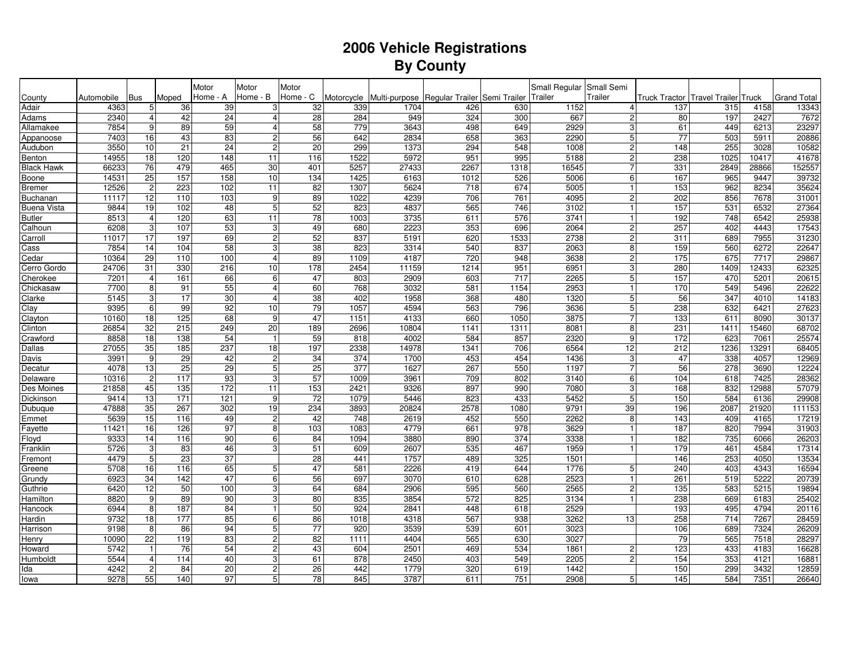## **2006 Vehicle Registrations By County**

|                   |            |                |       | Motor            | Motor           | Motor           |            |               |                 |              | Small Regular | Small Semi      |                                |      |       |                    |
|-------------------|------------|----------------|-------|------------------|-----------------|-----------------|------------|---------------|-----------------|--------------|---------------|-----------------|--------------------------------|------|-------|--------------------|
| County            | Automobile | <b>Bus</b>     | Moped | Home - A         | Home - B        | Home - C        | Motorcycle | Multi-purpose | Regular Trailer | Semi Trailer | Trailer       | Trailer         | Truck Tractor   Travel Trailer |      | Truck | <b>Grand Total</b> |
| Adair             | 4363       | 5 <sub>l</sub> | 36    | 39               | 3               | 32              | 339        | 1704          | 426             | 630          | 1152          | 4               | 137                            | 315  | 4158  | 13343              |
| Adams             | 2340       | $\overline{4}$ | 42    | 24               | $\overline{4}$  | 28              | 284        | 949           | 324             | 300          | 667           | $\overline{2}$  | 80                             | 197  | 2427  | 7672               |
| Allamakee         | 7854       | 9 <sup>1</sup> | 89    | 59               | $\overline{4}$  | 58              | 779        | 3643          | 498             | 649          | 2929          | 3               | 61                             | 449  | 6213  | 23297              |
| Appanoose         | 7403       | 16             | 43    | 83               | $\overline{2}$  | 56              | 642        | 2834          | 658             | 363          | 2290          | 5               | 77                             | 503  | 591   | 20886              |
| Audubon           | 3550       | 10             | 21    | 24               | $\overline{2}$  | 20              | 299        | 1373          | 294             | 548          | 1008          | $\overline{c}$  | 148                            | 255  | 3028  | 10582              |
| Benton            | 14955      | 18             | 120   | $\overline{148}$ | 11              | 116             | 1522       | 5972          | 951             | 995          | 5188          | $\overline{2}$  | 238                            | 1025 | 10417 | 41678              |
| <b>Black Hawk</b> | 66233      | 76             | 479   | 465              | 30              | 401             | 5257       | 27433         | 2267            | 1318         | 16545         | $\overline{7}$  | 331                            | 2849 | 28866 | 152557             |
| Boone             | 14531      | 25             | 157   | 158              | 10              | 134             | 1425       | 6163          | 1012            | 526          | 5006          | 6               | 167                            | 965  | 9447  | 39732              |
| <b>Bremer</b>     | 12526      | $\overline{2}$ | 223   | 102              | 11              | 82              | 1307       | 5624          | 718             | 674          | 5005          |                 | 153                            | 962  | 8234  | 35624              |
| Buchanan          | 11117      | 12             | 110   | 103              | 9               | 89              | 1022       | 4239          | 706             | 761          | 4095          | $\overline{c}$  | 202                            | 856  | 7678  | 31001              |
| Buena Vista       | 9844       | 19             | 102   | 48               | 5 <sup>1</sup>  | 52              | 823        | 4837          | 565             | 746          | 3102          | $\overline{1}$  | 157                            | 531  | 6532  | 27364              |
| <b>Butler</b>     | 8513       | 4 <sup>1</sup> | 120   | 63               | 11              | $\overline{78}$ | 1003       | 3735          | 611             | 576          | 3741          | $\mathbf{1}$    | 192                            | 748  | 6542  | 25938              |
| Calhoun           | 6208       | 3              | 107   | 53               | 3               | 49              | 680        | 2223          | 353             | 696          | 2064          | $\overline{c}$  | 257                            | 402  | 4443  | 17543              |
| Carroll           | 11017      | 17             | 197   | 69               | 2 <sup>1</sup>  | 52              | 837        | 5191          | 620             | 1533         | 2738          | $\overline{c}$  | 311                            | 689  | 7955  | 31230              |
| Cass              | 7854       | 14             | 104   | 58               | 3               | 38              | 823        | 3314          | 540             | 837          | 2063          | 8               | 159                            | 560  | 6272  | 22647              |
| Cedar             | 10364      | 29             | 110   | 100              | $\overline{4}$  | 89              | 1109       | 4187          | 720             | 948          | 3638          | $\overline{2}$  | 175                            | 675  | 7717  | 29867              |
| Cerro Gordo       | 24706      | 31             | 330   | 216              | 10              | 178             | 2454       | 11159         | 1214            | 951          | 6951          | 3               | 280                            | 1409 | 12433 | 62325              |
| Cherokee          | 7201       | $\vert$        | 161   | 66               | 6               | 47              | 803        | 2909          | 603             | 717          | 2265          | 5               | 157                            | 470  | 5201  | 20615              |
| Chickasaw         | 7700       | 8 <sup>1</sup> | 91    | 55               | $\overline{4}$  | 60              | 768        | 3032          | 581             | 1154         | 2953          |                 | 170                            | 549  | 5496  | 22622              |
| Clarke            | 5145       | 3 <sup>1</sup> | 17    | 30               | 4               | 38              | 402        | 1958          | 368             | 480          | 1320          | 5               | 56                             | 347  | 4010  | 14183              |
| Clay              | 9395       | 6 <sup>1</sup> | 99    | 92               | 10              | 79              | 1057       | 4594          | 563             | 796          | 3636          | 5               | 238                            | 632  | 6421  | 27623              |
| Clayton           | 10160      | 18             | 125   | 68               | 9               | 47              | 1151       | 4133          | 660             | 1050         | 3875          | $\overline{7}$  | 133                            | 611  | 8090  | 30137              |
| Clinton           | 26854      | 32             | 215   | 249              | 20              | 189             | 2696       | 10804         | 1141            | 1311         | 8081          | 8               | 231                            | 1411 | 15460 | 68702              |
| Crawford          | 8858       | 18             | 138   | 54               |                 | 59              | 818        | 4002          | 584             | 857          | 2320          | 9               | 172                            | 623  | 7061  | 25574              |
| Dallas            | 27055      | 35             | 185   | 237              | 18              | 197             | 2338       | 14978         | 1341            | 706          | 6564          | 12              | 212                            | 1236 | 13291 | 68405              |
| Davis             | 3991       | 9              | 29    | 42               | $\overline{2}$  | 34              | 374        | 1700          | 453             | 454          | 1436          | 3               | 47                             | 338  | 4057  | 12969              |
| Decatur           | 4078       | 13             | 25    | 29               | 5 <sup>1</sup>  | 25              | 377        | 1627          | 267             | 550          | 1197          | $\overline{7}$  | 56                             | 278  | 3690  | 12224              |
| Delaware          | 10316      | $\overline{2}$ | 117   | 93               | 3               | 57              | 1009       | 3961          | 709             | 802          | 3140          | 6               | 104                            | 618  | 7425  | 28362              |
| Des Moines        | 21858      | 45             | 135   | 172              | 11              | 153             | 2421       | 9326          | 897             | 990          | 7080          | 3               | 168                            | 832  | 12988 | 57079              |
| Dickinson         | 9414       | 13             | 171   | 121              | 9               | 72              | 1079       | 5446          | 823             | 433          | 5452          | $\sqrt{5}$      | 150                            | 584  | 6136  | 29908              |
| Dubuque           | 47888      | 35             | 267   | 302              | 19              | 234             | 3893       | 20824         | 2578            | 1080         | 9791          | 39              | 196                            | 2087 | 21920 | 111153             |
| Emmet             | 5639       | 15             | 116   | 49               | $\overline{2}$  | 42              | 748        | 2619          | 452             | 550          | 2262          | 8               | 143                            | 409  | 4165  | 17219              |
| Fayette           | 11421      | 16             | 126   | 97               | 8               | 103             | 1083       | 4779          | 661             | 978          | 3629          | $\overline{1}$  | 187                            | 820  | 7994  | 31903              |
| Floyd             | 9333       | 14             | 116   | 90               | 6               | 84              | 1094       | 3880          | 890             | 374          | 3338          | $\mathbf{1}$    | 182                            | 735  | 6066  | 26203              |
| Franklin          | 5726       | 3 <sup>1</sup> | 83    | 46               | 3 <sup>1</sup>  | 51              | 609        | 2607          | 535             | 467          | 1959          | $\mathbf{1}$    | 179                            | 461  | 4584  | 17314              |
| Fremont           | 4479       | 5 <sup>1</sup> | 23    | 37               |                 | 28              | 441        | 1757          | 489             | 325          | 1501          |                 | 146                            | 253  | 4050  | 13534              |
| Greene            | 5708       | 16             | 116   | 65               | 5 <sup>1</sup>  | 47              | 581        | 2226          | 419             | 644          | 1776          | 5               | 240                            | 403  | 4343  | 16594              |
| Grundy            | 6923       | 34             | 142   | 47               | 6 <sup>1</sup>  | 56              | 697        | 3070          | 610             | 628          | 2523          | $\mathbf{1}$    | 261                            | 519  | 5222  | 20739              |
| Guthrie           | 6420       | 12             | 50    | 100              | 3               | 64              | 684        | 2906          | 595             | 560          | 2565          | $\overline{c}$  | 135                            | 583  | 5215  | 19894              |
| Hamilton          | 8820       | 9              | 89    | 90               | 3 <sup>1</sup>  | 80              | 835        | 3854          | 572             | 825          | 3134          | $\mathbf{1}$    | 238                            | 669  | 6183  | 25402              |
| Hancock           | 6944       | 8 <sup>1</sup> | 187   | 84               | 1               | 50              | 924        | 2841          | 448             | 618          | 2529          |                 | 193                            | 495  | 4794  | 20116              |
| Hardin            | 9732       | 18             | 177   | 85               | 6               | 86              | 1018       | 4318          | 567             | 938          | 3262          | 13              | 258                            | 714  | 7267  | 28459              |
| Harrison          | 9198       | 8              | 86    | 94               | $5\overline{)}$ | 77              | 920        | 3539          | 539             | 601          | 3023          |                 | 106                            | 689  | 7324  | 26209              |
| Henry             | 10090      | 22             | 119   | 83               | $\overline{2}$  | 82              | 1111       | 4404          | 565             | 630          | 3027          |                 | 79                             | 565  | 7518  | 28297              |
| Howard            | 5742       | $\mathbf{1}$   | 76    | 54               | $\overline{2}$  | 43              | 604        | 2501          | 469             | 534          | 1861          | $\overline{c}$  | 123                            | 433  | 4183  | 16628              |
| Humboldt          | 5544       | $\vert$        | 114   | 40               | 3               | 61              | 878        | 2450          | 403             | 549          | 2205          | $\overline{2}$  | 154                            | 353  | 4121  | 16881              |
| Ida               | 4242       | $\overline{2}$ | 84    | 20               | $\overline{2}$  | 26              | 442        | 1779          | 320             | 619          | 1442          |                 | 150                            | 299  | 3432  | 12859              |
| lowa              | 9278       | 55             | 140   | 97               | 5               | 78              | 845        | 3787          | 611             | 751          | 2908          | $5\overline{)}$ | 145                            | 584  | 7351  | 26640              |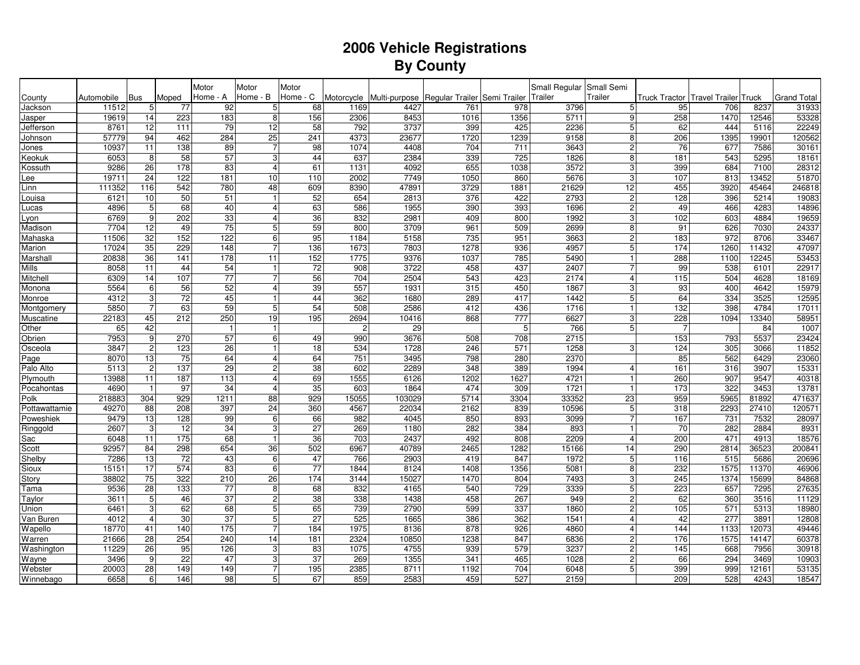## **2006 Vehicle Registrations By County**

|                    |                  |                     |                | Motor                 | Motor                 | Motor    |                        |               |                 |                         | Small Regular | Small Semi     |                      |                       |                   |                    |
|--------------------|------------------|---------------------|----------------|-----------------------|-----------------------|----------|------------------------|---------------|-----------------|-------------------------|---------------|----------------|----------------------|-----------------------|-------------------|--------------------|
| County             | Automobile       | <b>Bus</b>          | Moped          | Home - A              | Home - B              | Home - C | Motorcycle             | Multi-purpose | Regular Trailer | Semi Trailer            | Trailer       | Trailer        | <b>Truck Tractor</b> | <b>Travel Trailer</b> | Truck             | <b>Grand Total</b> |
| Jackson            | 11512            | 5 <sub>l</sub>      | 77             | 92                    | 5                     | 68       | 1169                   | 4427          | 761             | 978                     | 3796          | 5              | 95                   | 706                   | 8237              | 31933              |
| Jasper             | 19619            | 14                  | 223            | 183                   | 8                     | 156      | 2306                   | 8453          | 1016            | 1356                    | 5711          | 9              | 258                  | 1470                  | 12546             | 53328              |
| Jefferson          | 8761             | 12                  | 111            | 79                    | 12                    | 58       | 792                    | 3737          | 399             | 425                     | 2236          | 5              | 62                   | 444                   | 5116              | 22249              |
| Johnson            | 57779            | 94                  | 462            | 284                   | 25                    | 241      | 4373                   | 23677         | 1720            | 1239                    | 9158          | 8              | 206                  | 1395                  | 1990 <sup>-</sup> | 120562             |
| Jones              | 10937            | 11                  | 138            | 89                    | $\overline{7}$        | 98       | 1074                   | 4408          | 704             | 711                     | 3643          | $\overline{c}$ | 76                   | 677                   | 7586              | 30161              |
| Keokuk             | 6053             | 8                   | 58             | 57                    | 3                     | 44       | 637                    | 2384          | 339             | $\frac{1}{725}$         | 1826          | 8              | 181                  | 543                   | 5295              | 18161              |
| Kossuth            | 9286             | 26                  | 178            | 83                    | $\overline{4}$        | 61       | 1131                   | 4092          | 655             | 1038                    | 3572          | 3              | 399                  | 684                   | 7100              | 28312              |
| Lee                | 19711            | $\overline{24}$     | $\frac{1}{22}$ | 181                   | 10                    | 110      | 2002                   | 7749          | 1050            | 860                     | 5676          | 3              | 107                  | 813                   | 13452             | 51870              |
| Linn               | 111352           | 116                 | 542            | 780                   | 48                    | 609      | 8390                   | 47891         | 3729            | 1881                    | 21629         | 12             | 455                  | 3920                  | 45464             | 246818             |
| Louisa             | 6121             | 10                  | 50             | 51                    |                       | 52       | 654                    | 2813          | 376             | 422                     | 2793          | $\mathbf 2$    | 128                  | 396                   | 5214              | 19083              |
| Lucas              | 4896             | 5                   | 68             | 40                    | $\overline{4}$        | 63       | 586                    | 1955          | 390             | 393                     | 1696          | $\mathbf 2$    | 49                   | 466                   | 4283              | 14896              |
| _yon               | 6769             | 9                   | 202            | 33                    | $\overline{4}$        | 36       | 832                    | 2981          | 409             | 800                     | 1992          | 3              | 102                  | 603                   | 4884              | 19659              |
| Madison            | 7704             | 12                  | 49             | 75                    | 5                     | 59       | 800                    | 3709          | 961             | 509                     | 2699          | 8              | 91                   | 626                   | 7030              | 24337              |
| Mahaska            | 11506            | 32                  | 152            | 122                   | 6                     | 95       | 1184                   | 5158          | 735             | 951                     | 3663          | $\overline{2}$ | 183                  | 972                   | 8706              | 33467              |
| Marion             | 17024            | 35                  | 229            | 148                   | $\overline{7}$        | 136      | 1673                   | 7803          | 1278            | 936                     | 4957          | $\overline{5}$ | 174                  | 1260                  | 11432             | 47097              |
| Marshal            | 20838            | 36                  | 141            | 178                   | 11                    | 152      | 1775                   | 9376          | 1037            | 785                     | 5490          |                | 288                  | 1100                  | 12245             | 53453              |
| Mills              | 8058             | 11                  | 44             | 54                    | 7                     | 72       | 908                    | 3722          | 458             | 437                     | 2407          | $\overline{7}$ | 99                   | 538                   | 6101              | 22917              |
| Mitchell           | 6309             | 14                  | 107            | 77                    |                       | 56       | 704                    | 2504          | 543             | 423                     | 2174          | $\overline{4}$ | 115                  | 504                   | 4628              | 18169              |
| Monona             | 5564             | 6                   | 56             | 52                    | $\boldsymbol{\Delta}$ | 39       | 557                    | 1931          | 315             | 450                     | 1867          | 3              | 93                   | 400                   | 4642              | 15979              |
| Monroe             | 4312             | 3<br>$\overline{7}$ | 72             | 45<br>59              | 5                     | 44<br>54 | 362                    | 1680          | 289             | 417                     | 1442          | 5              | 64                   | 334                   | 3525              | 12595              |
| Montgomery         | 5850             |                     | 63             |                       |                       |          | 508                    | 2586          | 412             | 436<br>$\overline{777}$ | 1716          |                | 132                  | 398                   | 4784              | 17011<br>58951     |
| Muscatine<br>Other | 22183<br>65      | 45<br>42            | 212            | 250<br>$\overline{1}$ | 19                    | 195      | 2694<br>$\overline{2}$ | 10416<br>29   | 868             | 5                       | 6627<br>766   | 3<br>5         | 228                  | 1094                  | 13340<br>84       | 1007               |
| Obrien             | 7953             | 9                   | 270            | 57                    | 6                     |          | 990                    | 3676          | 508             | 708                     | 2715          |                | 153                  | 793                   | 5537              | 23424              |
|                    | 3847             | 2 <sup>1</sup>      | 123            | 26                    |                       | 49<br>18 | 534                    | 1728          | 246             | 571                     | 1258          | 3              | 124                  | 305                   | 3066              | 11852              |
| Osceola<br>Page    | 8070             | 13                  | 75             | 64                    | 4                     | 64       | 751                    | 3495          | 798             | 280                     | 2370          |                | 85                   | 562                   | 6429              | 23060              |
| Palo Alto          | $\frac{1}{5113}$ | $\overline{2}$      | 137            | 29                    | $\overline{2}$        | 38       | 602                    | 2289          | 348             | 389                     | 1994          | $\overline{4}$ | 161                  | 316                   | 3907              | 15331              |
| Plymouth           | 13988            | $\overline{11}$     | 187            | 113                   | $\overline{4}$        | 69       | 1555                   | 6126          | 1202            | 1627                    | 4721          | $\mathbf{1}$   | 260                  | 907                   | 9547              | 40318              |
| Pocahontas         | 4690             | $\mathbf{1}$        | 97             | 34                    | $\Delta$              | 35       | 603                    | 1864          | 474             | 309                     | 1721          | $\mathbf{1}$   | 173                  | 322                   | 3453              | 13781              |
| Polk               | 218883           | 304                 | 929            | 1211                  | 88                    | 929      | 15055                  | 103029        | 5714            | 3304                    | 33352         | 23             | 959                  | 5965                  | 81892             | 471637             |
| Pottawattamie      | 49270            | 88                  | 208            | 397                   | 24                    | 360      | 4567                   | 22034         | 2162            | 839                     | 10596         | 5              | 318                  | 2293                  | 27410             | 120571             |
| Poweshiek          | 9479             | 13                  | 128            | 99                    | 6                     | 66       | 982                    | 4045          | 850             | 893                     | 3099          | $\overline{7}$ | 167                  | 731                   | 7532              | 28097              |
| Ringgold           | 2607             | 3                   | 12             | 34                    | 3                     | 27       | 269                    | 1180          | 282             | 384                     | 893           | $\mathbf{1}$   | 70                   | 282                   | 2884              | 8931               |
| Sac                | 6048             | 11                  | 175            | 68                    |                       | 36       | 703                    | 2437          | 492             | 808                     | 2209          | 4              | 200                  | 471                   | 4913              | 18576              |
| Scott              | 92957            | 84                  | 298            | 654                   | 36                    | 502      | 6967                   | 40789         | 2465            | 1282                    | 15166         | 14             | 290                  | 2814                  | 36523             | 200841             |
| Shelby             | 7286             | 13                  | 72             | 43                    | 6                     | 47       | 766                    | 2903          | 419             | 847                     | 1972          | 5              | 116                  | 515                   | 5686              | 20696              |
| Sioux              | 15151            | 17                  | 574            | 83                    | 6                     | 77       | 1844                   | 8124          | 1408            | 1356                    | 5081          | $\overline{8}$ | 232                  | 1575                  | 11370             | 46906              |
| Story              | 38802            | 75                  | 322            | 210                   | 26                    | 174      | 3144                   | 15027         | 1470            | 804                     | 7493          | 3              | 245                  | 1374                  | 15699             | 84868              |
| Tama               | 9536             | $\overline{28}$     | 133            | 77                    | 8                     | 68       | 832                    | 4165          | 540             | 729                     | 3339          | 5              | 223                  | 657                   | 7295              | 27635              |
| Taylor             | 3611             | 5 <sub>l</sub>      | 46             | 37                    | $\overline{c}$        | 38       | 338                    | 1438          | 458             | 267                     | 949           | $\mathbf 2$    | 62                   | 360                   | 3516              | 11129              |
| Union              | 6461             | 3 <sup>1</sup>      | 62             | 68                    | 5                     | 65       | 739                    | 2790          | 599             | 337                     | 1860          | $\mathbf 2$    | 105                  | 571                   | 5313              | 18980              |
| Van Buren          | 4012             | $\vert$             | 30             | 37                    | 5                     | 27       | 525                    | 1665          | 386             | 362                     | 1541          | $\overline{4}$ | 42                   | 277                   | 3891              | 12808              |
| Wapello            | 18770            | 41                  | 140            | 175                   | 7                     | 184      | 1975                   | 8136          | 878             | 926                     | 4860          | $\overline{4}$ | 144                  | 1133                  | 12073             | 49446              |
| Warren             | 21666            | 28                  | 254            | 240                   | 14                    | 181      | 2324                   | 10850         | 1238            | 847                     | 6836          | $\mathbf 2$    | 176                  | 1575                  | 14147             | 60378              |
| Washington         | 11229            | 26                  | 95             | 126                   | 3                     | 83       | 1075                   | 4755          | 939             | 579                     | 3237          | $\mathbf 2$    | 145                  | 668                   | 7956              | 30918              |
| Wayne              | 3496             | 9                   | 22             | 47                    | 3                     | 37       | 269                    | 1355          | 341             | 465                     | 1028          | $\overline{c}$ | 66                   | 294                   | 3469              | 10903              |
| Webster            | 20003            | 28                  | 149            | 149                   | 7                     | 195      | 2385                   | 8711          | 1192            | 704                     | 6048          | 5              | 399                  | 999                   | 12161             | 53135              |
| Winnebago          | 6658             | 6 <sup>1</sup>      | 146            | 98                    | 5 <sup>1</sup>        | 67       | 859                    | 2583          | 459             | 527                     | 2159          |                | 209                  | 528                   | 4243              | 18547              |